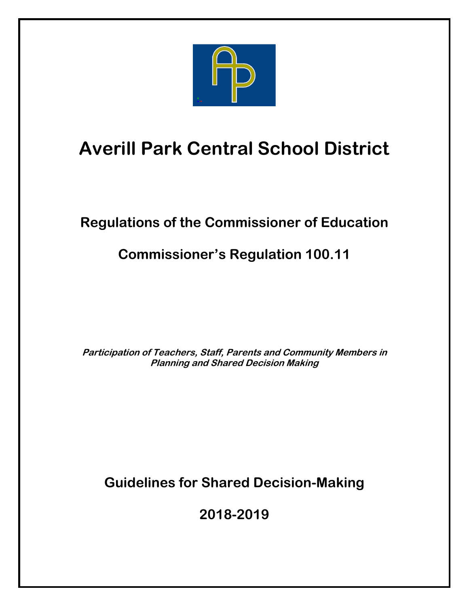

# **Averill Park Central School District**

# **Regulations of the Commissioner of Education**

## **Commissioner's Regulation 100.11**

**Participation of Teachers, Staff, Parents and Community Members in Planning and Shared Decision Making**

**Guidelines for Shared Decision-Making**

**2018-2019**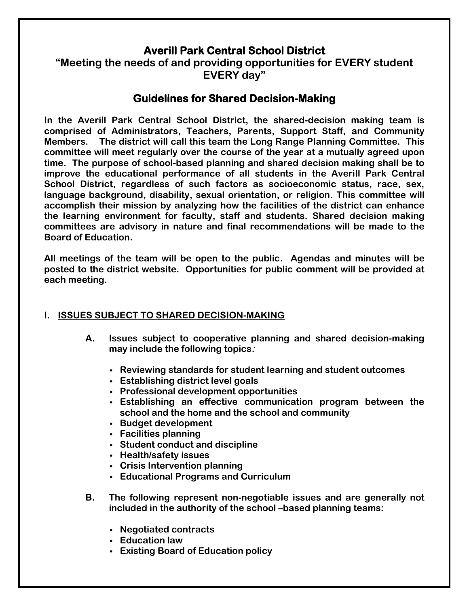### **Averill Park Central School District**

**"Meeting the needs of and providing opportunities for EVERY student EVERY day"**

### **Guidelines for Shared Decision-Making**

**In the Averill Park Central School District, the shared-decision making team is comprised of Administrators, Teachers, Parents, Support Staff, and Community Members. The district will call this team the Long Range Planning Committee. This committee will meet regularly over the course of the year at a mutually agreed upon time. The purpose of school-based planning and shared decision making shall be to improve the educational performance of all students in the Averill Park Central School District, regardless of such factors as socioeconomic status, race, sex, language background, disability, sexual orientation, or religion. This committee will accomplish their mission by analyzing how the facilities of the district can enhance the learning environment for faculty, staff and students. Shared decision making committees are advisory in nature and final recommendations will be made to the Board of Education.** 

**All meetings of the team will be open to the public. Agendas and minutes will be posted to the district website. Opportunities for public comment will be provided at each meeting.**

#### **I. ISSUES SUBJECT TO SHARED DECISION-MAKING**

- **A. Issues subject to cooperative planning and shared decision-making may include the following topics:**
	- **Reviewing standards for student learning and student outcomes**
	- **Establishing district level goals**
	- **Professional development opportunities**
	- **Establishing an effective communication program between the school and the home and the school and community**
	- **Budget development**
	- **Facilities planning**
	- **Student conduct and discipline**
	- **Health/safety issues**
	- **Crisis Intervention planning**
	- **Educational Programs and Curriculum**
- **B. The following represent non-negotiable issues and are generally not included in the authority of the school –based planning teams:**
	- **Negotiated contracts**
	- **Education law**
	- **Existing Board of Education policy**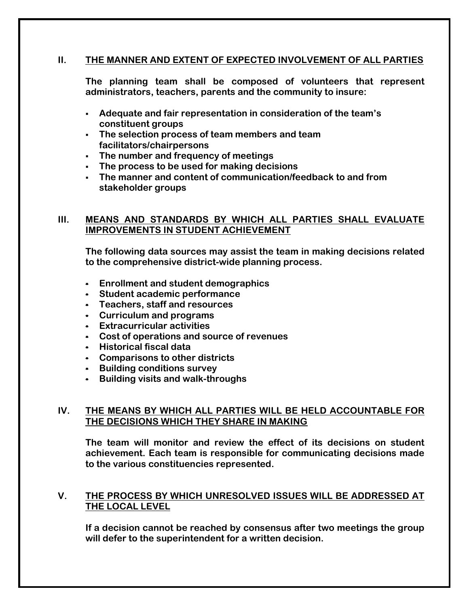#### **II. THE MANNER AND EXTENT OF EXPECTED INVOLVEMENT OF ALL PARTIES**

**The planning team shall be composed of volunteers that represent administrators, teachers, parents and the community to insure:**

- **Adequate and fair representation in consideration of the team's constituent groups**
- **The selection process of team members and team facilitators/chairpersons**
- **The number and frequency of meetings**
- **The process to be used for making decisions**
- **The manner and content of communication/feedback to and from stakeholder groups**

#### **III. MEANS AND STANDARDS BY WHICH ALL PARTIES SHALL EVALUATE IMPROVEMENTS IN STUDENT ACHIEVEMENT**

**The following data sources may assist the team in making decisions related to the comprehensive district-wide planning process.** 

- **Enrollment and student demographics**
- **Student academic performance**
- **Teachers, staff and resources**
- **Curriculum and programs**
- **Extracurricular activities**
- **Cost of operations and source of revenues**
- **-** Historical fiscal data
- **Comparisons to other districts**
- **-** Building conditions survey
- **Building visits and walk-throughs**

#### **IV. THE MEANS BY WHICH ALL PARTIES WILL BE HELD ACCOUNTABLE FOR THE DECISIONS WHICH THEY SHARE IN MAKING**

**The team will monitor and review the effect of its decisions on student achievement. Each team is responsible for communicating decisions made to the various constituencies represented.**

#### **V. THE PROCESS BY WHICH UNRESOLVED ISSUES WILL BE ADDRESSED AT THE LOCAL LEVEL**

**If a decision cannot be reached by consensus after two meetings the group will defer to the superintendent for a written decision.**